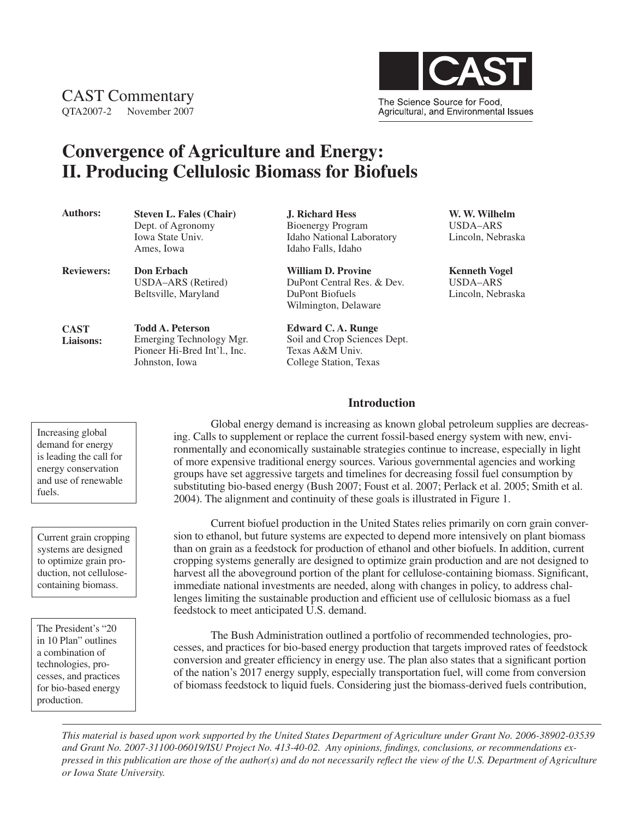CAST Commentary

QTA2007-2 November 2007



# **Convergence of Agriculture and Energy: II. Producing Cellulosic Biomass for Biofuels**

| <b>Authors:</b>                 | <b>Steven L. Fales (Chair)</b><br>Dept. of Agronomy<br><b>Iowa State Univ.</b><br>Ames, Iowa          | <b>J. Richard Hess</b><br><b>Bioenergy Program</b><br>Idaho National Laboratory<br>Idaho Falls, Idaho | W. W. Wilhelm<br>USDA-ARS<br>Lincoln, Nebraska        |  |
|---------------------------------|-------------------------------------------------------------------------------------------------------|-------------------------------------------------------------------------------------------------------|-------------------------------------------------------|--|
| <b>Reviewers:</b>               | Don Erbach<br>USDA-ARS (Retired)<br>Beltsville, Maryland                                              | <b>William D. Provine</b><br>DuPont Central Res. & Dev.<br>DuPont Biofuels<br>Wilmington, Delaware    | <b>Kenneth Vogel</b><br>USDA-ARS<br>Lincoln, Nebraska |  |
| <b>CAST</b><br><b>Liaisons:</b> | <b>Todd A. Peterson</b><br>Emerging Technology Mgr.<br>Pioneer Hi-Bred Int'l., Inc.<br>Johnston, Iowa | Edward C.A. Runge<br>Soil and Crop Sciences Dept.<br>Texas A&M Univ.<br>College Station, Texas        |                                                       |  |

Increasing global demand for energy is leading the call for energy conservation and use of renewable fuels.

Current grain cropping systems are designed to optimize grain production, not cellulosecontaining biomass.

The President's "20 in 10 Plan" outlines a combination of technologies, processes, and practices for bio-based energy production.

Global energy demand is increasing as known global petroleum supplies are decreasing. Calls to supplement or replace the current fossil-based energy system with new, environmentally and economically sustainable strategies continue to increase, especially in light of more expensive traditional energy sources. Various governmental agencies and working groups have set aggressive targets and timelines for decreasing fossil fuel consumption by substituting bio-based energy (Bush 2007; Foust et al. 2007; Perlack et al. 2005; Smith et al. 2004). The alignment and continuity of these goals is illustrated in Figure 1.

**Introduction**

Current biofuel production in the United States relies primarily on corn grain conversion to ethanol, but future systems are expected to depend more intensively on plant biomass than on grain as a feedstock for production of ethanol and other biofuels. In addition, current cropping systems generally are designed to optimize grain production and are not designed to harvest all the aboveground portion of the plant for cellulose-containing biomass. Significant, immediate national investments are needed, along with changes in policy, to address challenges limiting the sustainable production and efficient use of cellulosic biomass as a fuel feedstock to meet anticipated U.S. demand.

The Bush Administration outlined a portfolio of recommended technologies, processes, and practices for bio-based energy production that targets improved rates of feedstock conversion and greater efficiency in energy use. The plan also states that a significant portion of the nation's 2017 energy supply, especially transportation fuel, will come from conversion of biomass feedstock to liquid fuels. Considering just the biomass-derived fuels contribution,

*This material is based upon work supported by the United States Department of Agriculture under Grant No. 2006-38902-03539 and Grant No. 2007-31100-06019/ISU Project No. 413-40-02. Any opinions, findings, conclusions, or recommendations expressed in this publication are those of the author(s) and do not necessarily reflect the view of the U.S. Department of Agriculture or Iowa State University.*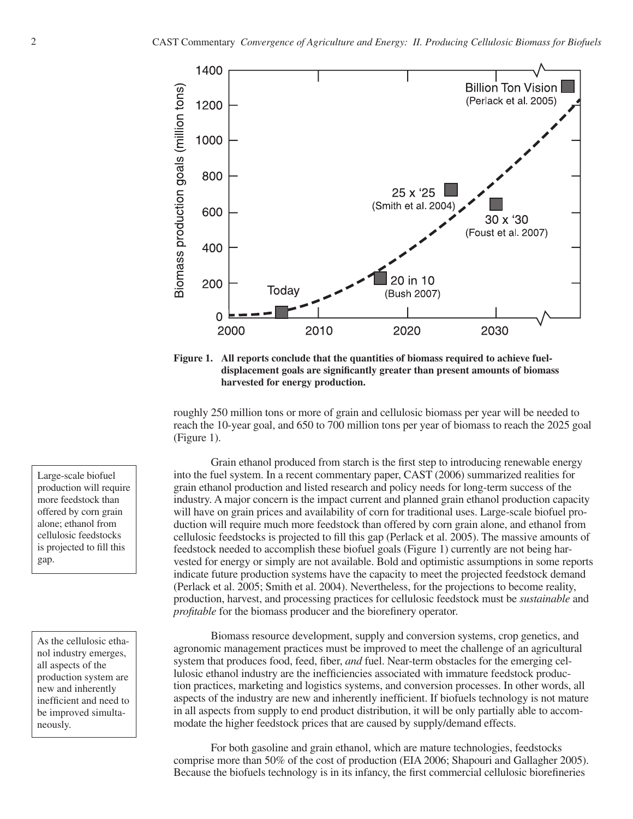

**Figure 1. All reports conclude that the quantities of biomass required to achieve fueldisplacement goals are significantly greater than present amounts of biomass harvested for energy production.**

roughly 250 million tons or more of grain and cellulosic biomass per year will be needed to reach the 10-year goal, and 650 to 700 million tons per year of biomass to reach the 2025 goal (Figure 1).

Grain ethanol produced from starch is the first step to introducing renewable energy into the fuel system. In a recent commentary paper, CAST (2006) summarized realities for grain ethanol production and listed research and policy needs for long-term success of the industry. A major concern is the impact current and planned grain ethanol production capacity will have on grain prices and availability of corn for traditional uses. Large-scale biofuel production will require much more feedstock than offered by corn grain alone, and ethanol from cellulosic feedstocks is projected to fill this gap (Perlack et al. 2005). The massive amounts of feedstock needed to accomplish these biofuel goals (Figure 1) currently are not being harvested for energy or simply are not available. Bold and optimistic assumptions in some reports indicate future production systems have the capacity to meet the projected feedstock demand (Perlack et al. 2005; Smith et al. 2004). Nevertheless, for the projections to become reality, production, harvest, and processing practices for cellulosic feedstock must be *sustainable* and *profitable* for the biomass producer and the biorefinery operator.

Biomass resource development, supply and conversion systems, crop genetics, and agronomic management practices must be improved to meet the challenge of an agricultural system that produces food, feed, fiber, *and* fuel. Near-term obstacles for the emerging cellulosic ethanol industry are the inefficiencies associated with immature feedstock production practices, marketing and logistics systems, and conversion processes. In other words, all aspects of the industry are new and inherently inefficient. If biofuels technology is not mature in all aspects from supply to end product distribution, it will be only partially able to accommodate the higher feedstock prices that are caused by supply/demand effects.

For both gasoline and grain ethanol, which are mature technologies, feedstocks comprise more than 50% of the cost of production (EIA 2006; Shapouri and Gallagher 2005). Because the biofuels technology is in its infancy, the first commercial cellulosic biorefineries

Large-scale biofuel production will require more feedstock than offered by corn grain alone; ethanol from cellulosic feedstocks is projected to fill this gap.

As the cellulosic ethanol industry emerges, all aspects of the production system are new and inherently inefficient and need to be improved simultaneously.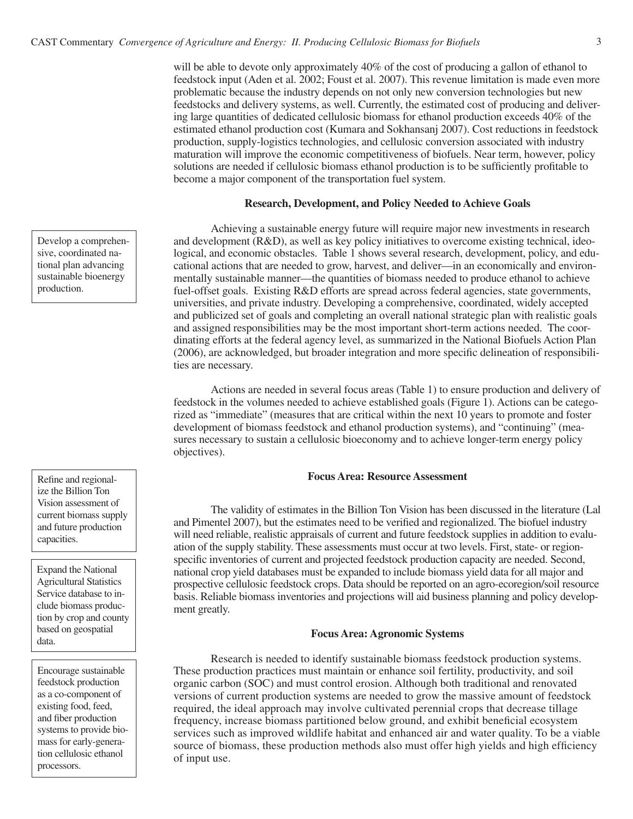will be able to devote only approximately 40% of the cost of producing a gallon of ethanol to feedstock input (Aden et al. 2002; Foust et al. 2007). This revenue limitation is made even more problematic because the industry depends on not only new conversion technologies but new feedstocks and delivery systems, as well. Currently, the estimated cost of producing and delivering large quantities of dedicated cellulosic biomass for ethanol production exceeds 40% of the estimated ethanol production cost (Kumara and Sokhansanj 2007). Cost reductions in feedstock production, supply-logistics technologies, and cellulosic conversion associated with industry maturation will improve the economic competitiveness of biofuels. Near term, however, policy solutions are needed if cellulosic biomass ethanol production is to be sufficiently profitable to become a major component of the transportation fuel system.

#### **Research, Development, and Policy Needed to Achieve Goals**

Achieving a sustainable energy future will require major new investments in research and development (R&D), as well as key policy initiatives to overcome existing technical, ideological, and economic obstacles. Table 1 shows several research, development, policy, and educational actions that are needed to grow, harvest, and deliver—in an economically and environmentally sustainable manner—the quantities of biomass needed to produce ethanol to achieve fuel-offset goals. Existing R&D efforts are spread across federal agencies, state governments, universities, and private industry. Developing a comprehensive, coordinated, widely accepted and publicized set of goals and completing an overall national strategic plan with realistic goals and assigned responsibilities may be the most important short-term actions needed. The coordinating efforts at the federal agency level, as summarized in the National Biofuels Action Plan (2006), are acknowledged, but broader integration and more specific delineation of responsibilities are necessary.

Actions are needed in several focus areas (Table 1) to ensure production and delivery of feedstock in the volumes needed to achieve established goals (Figure 1). Actions can be categorized as "immediate" (measures that are critical within the next 10 years to promote and foster development of biomass feedstock and ethanol production systems), and "continuing" (measures necessary to sustain a cellulosic bioeconomy and to achieve longer-term energy policy objectives).

## **Focus Area: Resource Assessment**

The validity of estimates in the Billion Ton Vision has been discussed in the literature (Lal and Pimentel 2007), but the estimates need to be verified and regionalized. The biofuel industry will need reliable, realistic appraisals of current and future feedstock supplies in addition to evaluation of the supply stability. These assessments must occur at two levels. First, state- or regionspecific inventories of current and projected feedstock production capacity are needed. Second, national crop yield databases must be expanded to include biomass yield data for all major and prospective cellulosic feedstock crops. Data should be reported on an agro-ecoregion/soil resource basis. Reliable biomass inventories and projections will aid business planning and policy development greatly.

#### **Focus Area: Agronomic Systems**

Research is needed to identify sustainable biomass feedstock production systems. These production practices must maintain or enhance soil fertility, productivity, and soil organic carbon (SOC) and must control erosion. Although both traditional and renovated versions of current production systems are needed to grow the massive amount of feedstock required, the ideal approach may involve cultivated perennial crops that decrease tillage frequency, increase biomass partitioned below ground, and exhibit beneficial ecosystem services such as improved wildlife habitat and enhanced air and water quality. To be a viable source of biomass, these production methods also must offer high yields and high efficiency of input use.

Develop a comprehensive, coordinated national plan advancing sustainable bioenergy production.

Refine and regionalize the Billion Ton Vision assessment of current biomass supply and future production capacities.

Expand the National Agricultural Statistics Service database to include biomass production by crop and county based on geospatial data.

Encourage sustainable feedstock production as a co-component of existing food, feed, and fiber production systems to provide biomass for early-generation cellulosic ethanol processors.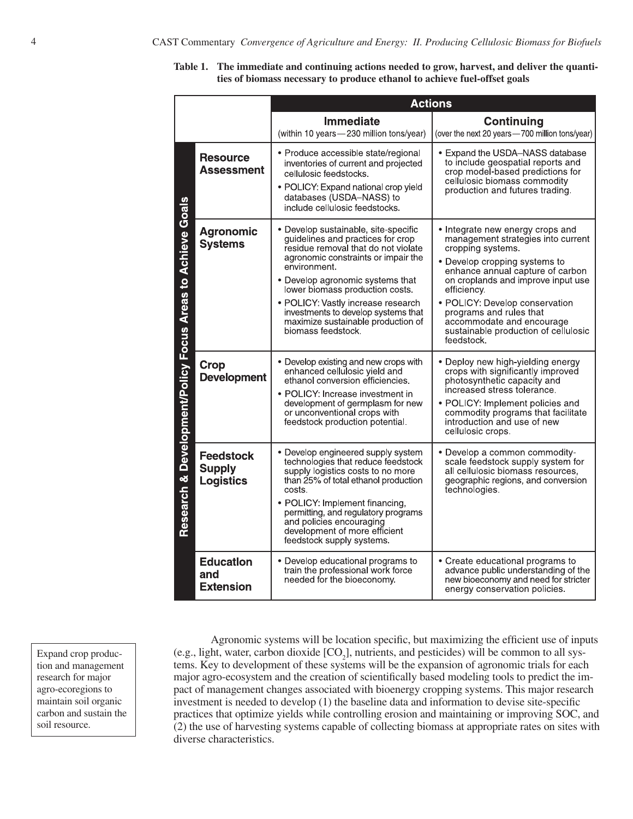|                                                 |                                                       | <b>Actions</b>                                                                                                                                                                                                                                                                                                                                                                          |                                                                                                                                                                                                                                                                                                                                                                       |  |
|-------------------------------------------------|-------------------------------------------------------|-----------------------------------------------------------------------------------------------------------------------------------------------------------------------------------------------------------------------------------------------------------------------------------------------------------------------------------------------------------------------------------------|-----------------------------------------------------------------------------------------------------------------------------------------------------------------------------------------------------------------------------------------------------------------------------------------------------------------------------------------------------------------------|--|
|                                                 |                                                       | <b>Immediate</b><br>(within 10 years-230 million tons/year)                                                                                                                                                                                                                                                                                                                             | Continuing<br>(over the next 20 years-700 million tons/year)                                                                                                                                                                                                                                                                                                          |  |
|                                                 | <b>Resource</b><br>Assessment                         | • Produce accessible state/regional<br>inventories of current and projected<br>cellulosic feedstocks.<br>• POLICY: Expand national crop yield<br>databases (USDA-NASS) to<br>include cellulosic feedstocks.                                                                                                                                                                             | • Expand the USDA-NASS database<br>to include geospatial reports and<br>crop model-based predictions for<br>cellulosic biomass commodity<br>production and futures trading.                                                                                                                                                                                           |  |
| Development/Policy Focus Areas to Achieve Goals | <b>Agronomic</b><br><b>Systems</b>                    | • Develop sustainable, site-specific<br>guidelines and practices for crop<br>residue removal that do not violate<br>agronomic constraints or impair the<br>environment.<br>• Develop agronomic systems that<br>lower biomass production costs.<br>· POLICY: Vastly increase research<br>investments to develop systems that<br>maximize sustainable production of<br>biomass feedstock. | • Integrate new energy crops and<br>management strategies into current<br>cropping systems.<br>• Develop cropping systems to<br>enhance annual capture of carbon<br>on croplands and improve input use<br>efficiency.<br>· POLICY: Develop conservation<br>programs and rules that<br>accommodate and encourage<br>sustainable production of cellulosic<br>feedstock. |  |
|                                                 | Crop<br><b>Development</b>                            | • Develop existing and new crops with<br>enhanced cellulosic yield and<br>ethanol conversion efficiencies.<br>• POLICY: Increase investment in<br>development of germplasm for new<br>or unconventional crops with<br>feedstock production potential.                                                                                                                                   | • Deploy new high-yielding energy<br>crops with significantly improved<br>photosynthetic capacity and<br>increased stress tolerance.<br>• POLICY: Implement policies and<br>commodity programs that facilitate<br>introduction and use of new<br>cellulosic crops.                                                                                                    |  |
| Research &                                      | <b>Feedstock</b><br><b>Supply</b><br><b>Logistics</b> | • Develop engineered supply system<br>technologies that reduce feedstock<br>supply logistics costs to no more<br>than 25% of total ethanol production<br>costs.<br>• POLICY: Implement financing,<br>permitting, and regulatory programs<br>and policies encouraging<br>development of more efficient<br>feedstock supply systems.                                                      | • Develop a common commodity-<br>scale feedstock supply system for<br>all cellulosic biomass resources,<br>geographic regions, and conversion<br>technologies.                                                                                                                                                                                                        |  |
|                                                 | <b>Education</b><br>and<br><b>Extension</b>           | • Develop educational programs to<br>train the professional work force<br>needed for the bioeconomy.                                                                                                                                                                                                                                                                                    | • Create educational programs to<br>advance public understanding of the<br>new bioeconomy and need for stricter<br>energy conservation policies.                                                                                                                                                                                                                      |  |

**Table 1. The immediate and continuing actions needed to grow, harvest, and deliver the quantities of biomass necessary to produce ethanol to achieve fuel-offset goals** 

Expand crop production and management research for major agro-ecoregions to maintain soil organic carbon and sustain the soil resource.

Agronomic systems will be location specific, but maximizing the efficient use of inputs (e.g., light, water, carbon dioxide  $[CO_2]$ , nutrients, and pesticides) will be common to all systems. Key to development of these systems will be the expansion of agronomic trials for each major agro-ecosystem and the creation of scientifically based modeling tools to predict the impact of management changes associated with bioenergy cropping systems. This major research investment is needed to develop (1) the baseline data and information to devise site-specific practices that optimize yields while controlling erosion and maintaining or improving SOC, and (2) the use of harvesting systems capable of collecting biomass at appropriate rates on sites with diverse characteristics.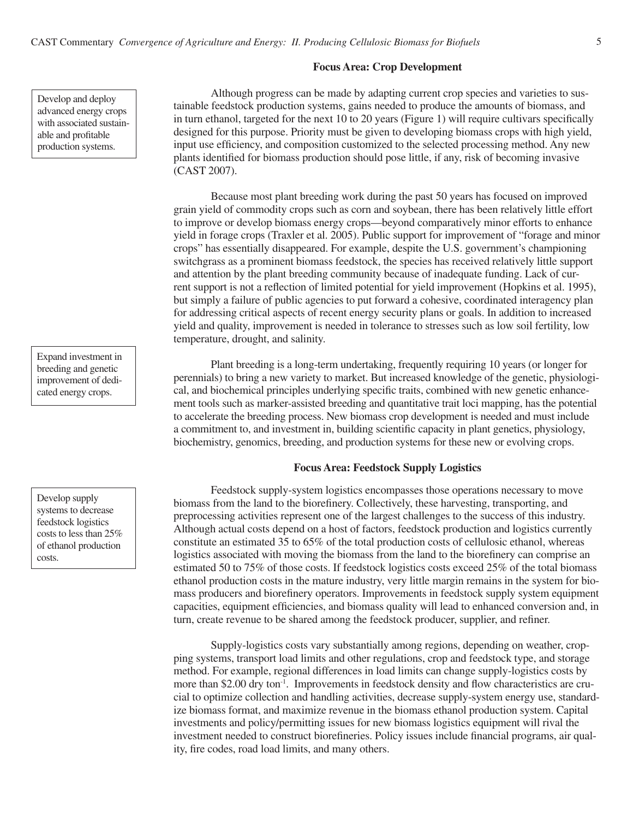Develop and deploy advanced energy crops with associated sustainable and profitable production systems.

Expand investment in breeding and genetic improvement of dedicated energy crops.

Develop supply systems to decrease feedstock logistics costs to less than 25% of ethanol production costs.

## **Focus Area: Crop Development**

Although progress can be made by adapting current crop species and varieties to sustainable feedstock production systems, gains needed to produce the amounts of biomass, and in turn ethanol, targeted for the next 10 to 20 years (Figure 1) will require cultivars specifically designed for this purpose. Priority must be given to developing biomass crops with high yield, input use efficiency, and composition customized to the selected processing method. Any new plants identified for biomass production should pose little, if any, risk of becoming invasive (CAST 2007).

Because most plant breeding work during the past 50 years has focused on improved grain yield of commodity crops such as corn and soybean, there has been relatively little effort to improve or develop biomass energy crops—beyond comparatively minor efforts to enhance yield in forage crops (Traxler et al. 2005). Public support for improvement of "forage and minor crops" has essentially disappeared. For example, despite the U.S. government's championing switchgrass as a prominent biomass feedstock, the species has received relatively little support and attention by the plant breeding community because of inadequate funding. Lack of current support is not a reflection of limited potential for yield improvement (Hopkins et al. 1995), but simply a failure of public agencies to put forward a cohesive, coordinated interagency plan for addressing critical aspects of recent energy security plans or goals. In addition to increased yield and quality, improvement is needed in tolerance to stresses such as low soil fertility, low temperature, drought, and salinity.

Plant breeding is a long-term undertaking, frequently requiring 10 years (or longer for perennials) to bring a new variety to market. But increased knowledge of the genetic, physiological, and biochemical principles underlying specific traits, combined with new genetic enhancement tools such as marker-assisted breeding and quantitative trait loci mapping, has the potential to accelerate the breeding process. New biomass crop development is needed and must include a commitment to, and investment in, building scientific capacity in plant genetics, physiology, biochemistry, genomics, breeding, and production systems for these new or evolving crops.

#### **Focus Area: Feedstock Supply Logistics**

Feedstock supply-system logistics encompasses those operations necessary to move biomass from the land to the biorefinery. Collectively, these harvesting, transporting, and preprocessing activities represent one of the largest challenges to the success of this industry. Although actual costs depend on a host of factors, feedstock production and logistics currently constitute an estimated 35 to 65% of the total production costs of cellulosic ethanol, whereas logistics associated with moving the biomass from the land to the biorefinery can comprise an estimated 50 to 75% of those costs. If feedstock logistics costs exceed 25% of the total biomass ethanol production costs in the mature industry, very little margin remains in the system for biomass producers and biorefinery operators. Improvements in feedstock supply system equipment capacities, equipment efficiencies, and biomass quality will lead to enhanced conversion and, in turn, create revenue to be shared among the feedstock producer, supplier, and refiner.

Supply-logistics costs vary substantially among regions, depending on weather, cropping systems, transport load limits and other regulations, crop and feedstock type, and storage method. For example, regional differences in load limits can change supply-logistics costs by more than \$2.00 dry ton<sup>-1</sup>. Improvements in feedstock density and flow characteristics are crucial to optimize collection and handling activities, decrease supply-system energy use, standardize biomass format, and maximize revenue in the biomass ethanol production system. Capital investments and policy/permitting issues for new biomass logistics equipment will rival the investment needed to construct biorefineries. Policy issues include financial programs, air quality, fire codes, road load limits, and many others.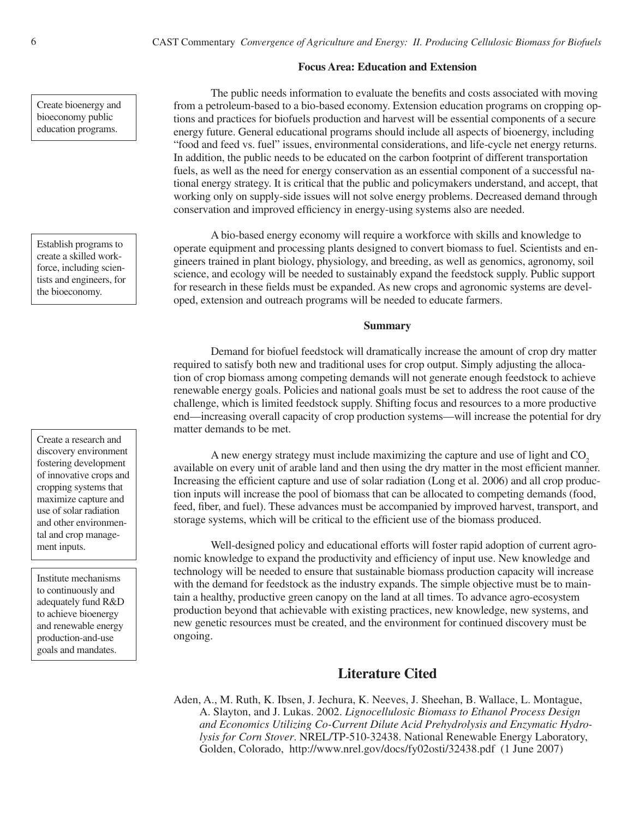## **Focus Area: Education and Extension**

The public needs information to evaluate the benefits and costs associated with moving from a petroleum-based to a bio-based economy. Extension education programs on cropping options and practices for biofuels production and harvest will be essential components of a secure energy future. General educational programs should include all aspects of bioenergy, including "food and feed vs. fuel" issues, environmental considerations, and life-cycle net energy returns. In addition, the public needs to be educated on the carbon footprint of different transportation fuels, as well as the need for energy conservation as an essential component of a successful national energy strategy. It is critical that the public and policymakers understand, and accept, that working only on supply-side issues will not solve energy problems. Decreased demand through conservation and improved efficiency in energy-using systems also are needed.

A bio-based energy economy will require a workforce with skills and knowledge to operate equipment and processing plants designed to convert biomass to fuel. Scientists and engineers trained in plant biology, physiology, and breeding, as well as genomics, agronomy, soil science, and ecology will be needed to sustainably expand the feedstock supply. Public support for research in these fields must be expanded. As new crops and agronomic systems are developed, extension and outreach programs will be needed to educate farmers.

## **Summary**

Demand for biofuel feedstock will dramatically increase the amount of crop dry matter required to satisfy both new and traditional uses for crop output. Simply adjusting the allocation of crop biomass among competing demands will not generate enough feedstock to achieve renewable energy goals. Policies and national goals must be set to address the root cause of the challenge, which is limited feedstock supply. Shifting focus and resources to a more productive end—increasing overall capacity of crop production systems—will increase the potential for dry matter demands to be met.

A new energy strategy must include maximizing the capture and use of light and CO<sub>2</sub>. available on every unit of arable land and then using the dry matter in the most efficient manner. Increasing the efficient capture and use of solar radiation (Long et al. 2006) and all crop production inputs will increase the pool of biomass that can be allocated to competing demands (food, feed, fiber, and fuel). These advances must be accompanied by improved harvest, transport, and storage systems, which will be critical to the efficient use of the biomass produced.

Well-designed policy and educational efforts will foster rapid adoption of current agronomic knowledge to expand the productivity and efficiency of input use. New knowledge and technology will be needed to ensure that sustainable biomass production capacity will increase with the demand for feedstock as the industry expands. The simple objective must be to maintain a healthy, productive green canopy on the land at all times. To advance agro-ecosystem production beyond that achievable with existing practices, new knowledge, new systems, and new genetic resources must be created, and the environment for continued discovery must be ongoing.

# **Literature Cited**

Aden, A., M. Ruth, K. Ibsen, J. Jechura, K. Neeves, J. Sheehan, B. Wallace, L. Montague, A. Slayton, and J. Lukas. 2002. *Lignocellulosic Biomass to Ethanol Process Design and Economics Utilizing Co-Current Dilute Acid Prehydrolysis and Enzymatic Hydrolysis for Corn Stover*. NREL/TP-510-32438. National Renewable Energy Laboratory, Golden, Colorado, http://www.nrel.gov/docs/fy02osti/32438.pdf (1 June 2007)

Create bioenergy and bioeconomy public education programs.

Establish programs to create a skilled workforce, including scientists and engineers, for the bioeconomy.

Create a research and discovery environment fostering development of innovative crops and cropping systems that maximize capture and use of solar radiation and other environmental and crop management inputs.

Institute mechanisms to continuously and adequately fund R&D to achieve bioenergy and renewable energy production-and-use goals and mandates.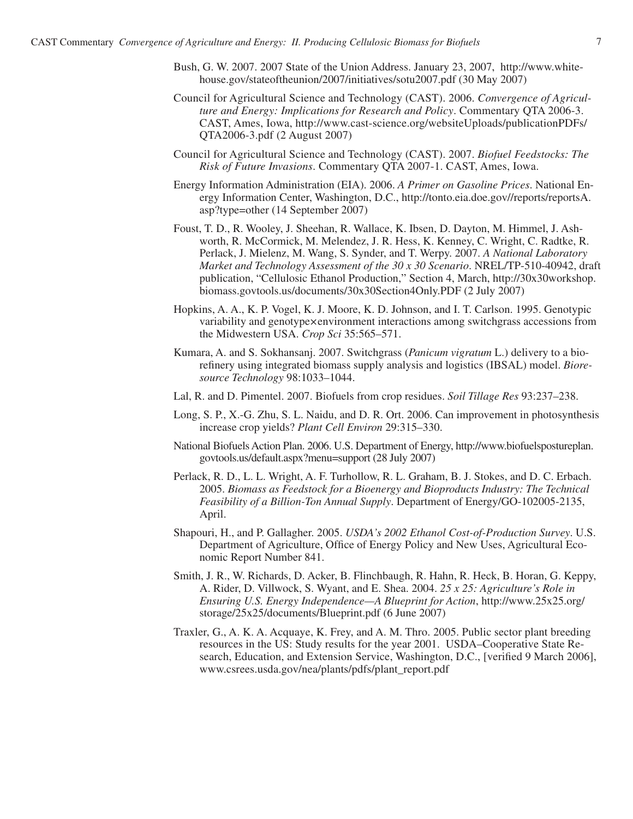- Bush, G. W. 2007. 2007 State of the Union Address. January 23, 2007, http://www.whitehouse.gov/stateoftheunion/2007/initiatives/sotu2007.pdf (30 May 2007)
- Council for Agricultural Science and Technology (CAST). 2006. *Convergence of Agriculture and Energy: Implications for Research and Policy*. Commentary QTA 2006-3. CAST, Ames, Iowa, http://www.cast-science.org/websiteUploads/publicationPDFs/ QTA2006-3.pdf (2 August 2007)
- Council for Agricultural Science and Technology (CAST). 2007. *Biofuel Feedstocks: The Risk of Future Invasions*. Commentary QTA 2007-1. CAST, Ames, Iowa.
- Energy Information Administration (EIA). 2006. *A Primer on Gasoline Prices*. National Energy Information Center, Washington, D.C., http://tonto.eia.doe.gov//reports/reportsA. asp?type=other (14 September 2007)
- Foust, T. D., R. Wooley, J. Sheehan, R. Wallace, K. Ibsen, D. Dayton, M. Himmel, J. Ashworth, R. McCormick, M. Melendez, J. R. Hess, K. Kenney, C. Wright, C. Radtke, R. Perlack, J. Mielenz, M. Wang, S. Synder, and T. Werpy. 2007. *A National Laboratory Market and Technology Assessment of the 30 x 30 Scenario*. NREL/TP-510-40942, draft publication, "Cellulosic Ethanol Production," Section 4, March, http://30x30workshop. biomass.govtools.us/documents/30x30Section4Only.PDF (2 July 2007)
- Hopkins, A. A., K. P. Vogel, K. J. Moore, K. D. Johnson, and I. T. Carlson. 1995. Genotypic variability and genotype×environment interactions among switchgrass accessions from the Midwestern USA. *Crop Sci* 35:565–571.
- Kumara, A. and S. Sokhansanj. 2007. Switchgrass (*Panicum vigratum* L.) delivery to a biorefinery using integrated biomass supply analysis and logistics (IBSAL) model. *Bioresource Technology* 98:1033–1044.
- Lal, R. and D. Pimentel. 2007. Biofuels from crop residues. *Soil Tillage Res* 93:237–238.
- Long, S. P., X.-G. Zhu, S. L. Naidu, and D. R. Ort. 2006. Can improvement in photosynthesis increase crop yields? *Plant Cell Environ* 29:315–330.
- National Biofuels Action Plan. 2006. U.S. Department of Energy, http://www.biofuelspostureplan. govtools.us/default.aspx?menu=support (28 July 2007)
- Perlack, R. D., L. L. Wright, A. F. Turhollow, R. L. Graham, B. J. Stokes, and D. C. Erbach. 2005. *Biomass as Feedstock for a Bioenergy and Bioproducts Industry: The Technical Feasibility of a Billion-Ton Annual Supply*. Department of Energy/GO-102005-2135, April.
- Shapouri, H., and P. Gallagher. 2005. *USDA's 2002 Ethanol Cost-of-Production Survey*. U.S. Department of Agriculture, Office of Energy Policy and New Uses, Agricultural Economic Report Number 841.
- Smith, J. R., W. Richards, D. Acker, B. Flinchbaugh, R. Hahn, R. Heck, B. Horan, G. Keppy, A. Rider, D. Villwock, S. Wyant, and E. Shea. 2004. *25 x 25: Agriculture's Role in Ensuring U.S. Energy Independence—A Blueprint for Action*, http://www.25x25.org/ storage/25x25/documents/Blueprint.pdf (6 June 2007)
- Traxler, G., A. K. A. Acquaye, K. Frey, and A. M. Thro. 2005. Public sector plant breeding resources in the US: Study results for the year 2001. USDA–Cooperative State Research, Education, and Extension Service, Washington, D.C., [verified 9 March 2006], www.csrees.usda.gov/nea/plants/pdfs/plant\_report.pdf